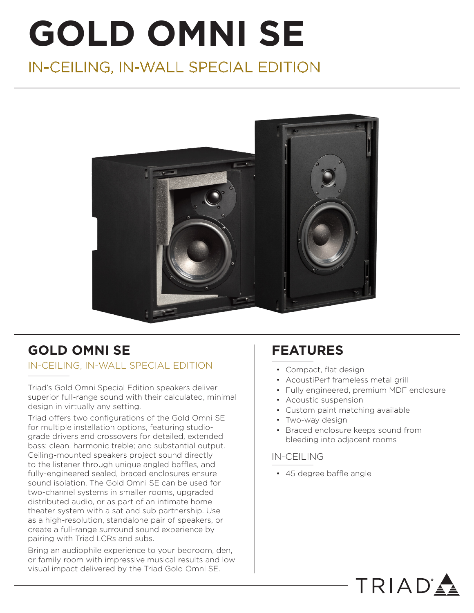# **GOLD OMNI SE**

# IN-CEILING, IN-WALL SPECIAL EDITION



# **GOLD OMNI SE**

## IN-CEILING, IN-WALL SPECIAL EDITION

Triad's Gold Omni Special Edition speakers deliver superior full-range sound with their calculated, minimal design in virtually any setting.

Triad offers two configurations of the Gold Omni SE for multiple installation options, featuring studiograde drivers and crossovers for detailed, extended bass; clean, harmonic treble; and substantial output. Ceiling-mounted speakers project sound directly to the listener through unique angled baffles, and fully-engineered sealed, braced enclosures ensure sound isolation. The Gold Omni SE can be used for two-channel systems in smaller rooms, upgraded distributed audio, or as part of an intimate home theater system with a sat and sub partnership. Use as a high-resolution, standalone pair of speakers, or create a full-range surround sound experience by pairing with Triad LCRs and subs.

Bring an audiophile experience to your bedroom, den, or family room with impressive musical results and low visual impact delivered by the Triad Gold Omni SE.

# **FEATURES**

- Compact, flat design
- AcoustiPerf frameless metal grill
- Fully engineered, premium MDF enclosure

TRIAD'

- Acoustic suspension
- Custom paint matching available
- Two-way design
- Braced enclosure keeps sound from bleeding into adjacent rooms

## IN-CEILING

• 45 degree baffle angle